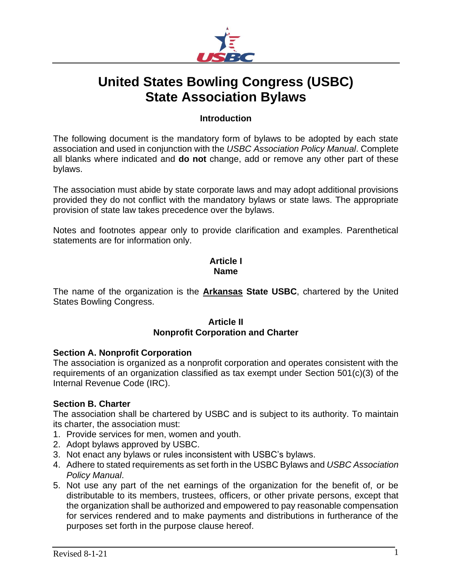

# **United States Bowling Congress (USBC) State Association Bylaws**

## **Introduction**

The following document is the mandatory form of bylaws to be adopted by each state association and used in conjunction with the *USBC Association Policy Manual*. Complete all blanks where indicated and **do not** change, add or remove any other part of these bylaws.

The association must abide by state corporate laws and may adopt additional provisions provided they do not conflict with the mandatory bylaws or state laws. The appropriate provision of state law takes precedence over the bylaws.

Notes and footnotes appear only to provide clarification and examples. Parenthetical statements are for information only.

## **Article I Name**

The name of the organization is the **Arkansas State USBC**, chartered by the United States Bowling Congress.

# **Article II Nonprofit Corporation and Charter**

#### **Section A. Nonprofit Corporation**

The association is organized as a nonprofit corporation and operates consistent with the requirements of an organization classified as tax exempt under Section 501(c)(3) of the Internal Revenue Code (IRC).

# **Section B. Charter**

The association shall be chartered by USBC and is subject to its authority. To maintain its charter, the association must:

- 1. Provide services for men, women and youth.
- 2. Adopt bylaws approved by USBC.
- 3. Not enact any bylaws or rules inconsistent with USBC's bylaws.
- 4. Adhere to stated requirements as set forth in the USBC Bylaws and *USBC Association Policy Manual*.
- 5. Not use any part of the net earnings of the organization for the benefit of, or be distributable to its members, trustees, officers, or other private persons, except that the organization shall be authorized and empowered to pay reasonable compensation for services rendered and to make payments and distributions in furtherance of the purposes set forth in the purpose clause hereof.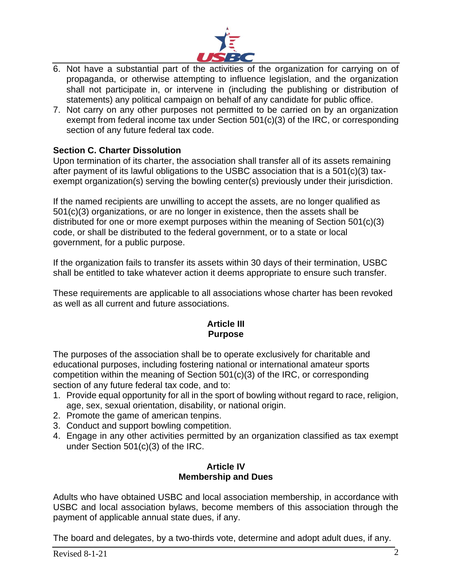

- 6. Not have a substantial part of the activities of the organization for carrying on of propaganda, or otherwise attempting to influence legislation, and the organization shall not participate in, or intervene in (including the publishing or distribution of statements) any political campaign on behalf of any candidate for public office.
- 7. Not carry on any other purposes not permitted to be carried on by an organization exempt from federal income tax under Section 501(c)(3) of the IRC, or corresponding section of any future federal tax code.

# **Section C. Charter Dissolution**

Upon termination of its charter, the association shall transfer all of its assets remaining after payment of its lawful obligations to the USBC association that is a 501(c)(3) taxexempt organization(s) serving the bowling center(s) previously under their jurisdiction.

If the named recipients are unwilling to accept the assets, are no longer qualified as 501(c)(3) organizations, or are no longer in existence, then the assets shall be distributed for one or more exempt purposes within the meaning of Section 501(c)(3) code, or shall be distributed to the federal government, or to a state or local government, for a public purpose.

If the organization fails to transfer its assets within 30 days of their termination, USBC shall be entitled to take whatever action it deems appropriate to ensure such transfer.

These requirements are applicable to all associations whose charter has been revoked as well as all current and future associations.

## **Article III Purpose**

The purposes of the association shall be to operate exclusively for charitable and educational purposes, including fostering national or international amateur sports competition within the meaning of Section 501(c)(3) of the IRC, or corresponding section of any future federal tax code, and to:

- 1. Provide equal opportunity for all in the sport of bowling without regard to race, religion, age, sex, sexual orientation, disability, or national origin.
- 2. Promote the game of american tenpins.
- 3. Conduct and support bowling competition.
- 4. Engage in any other activities permitted by an organization classified as tax exempt under Section 501(c)(3) of the IRC.

#### **Article IV Membership and Dues**

Adults who have obtained USBC and local association membership, in accordance with USBC and local association bylaws, become members of this association through the payment of applicable annual state dues, if any.

The board and delegates, by a two-thirds vote, determine and adopt adult dues, if any.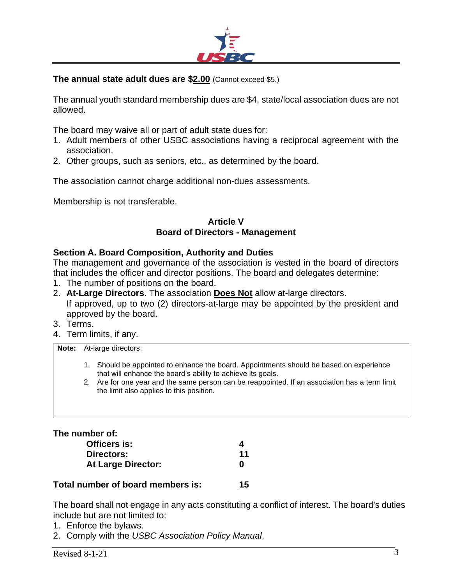

## **The annual state adult dues are \$2.00** (Cannot exceed \$5.)

The annual youth standard membership dues are \$4, state/local association dues are not allowed.

The board may waive all or part of adult state dues for:

- 1. Adult members of other USBC associations having a reciprocal agreement with the association.
- 2. Other groups, such as seniors, etc., as determined by the board.

The association cannot charge additional non-dues assessments.

Membership is not transferable.

#### **Article V Board of Directors - Management**

#### **Section A. Board Composition, Authority and Duties**

The management and governance of the association is vested in the board of directors that includes the officer and director positions. The board and delegates determine:

- 1. The number of positions on the board.
- 2. **At-Large Directors**. The association **Does Not** allow at-large directors. If approved, up to two (2) directors-at-large may be appointed by the president and approved by the board.
- 3. Terms.
- 4. Term limits, if any.

**Note:** At-large directors:

- 1. Should be appointed to enhance the board. Appointments should be based on experience that will enhance the board's ability to achieve its goals.
- 2. Are for one year and the same person can be reappointed. If an association has a term limit the limit also applies to this position.

**The number of:**

| Officers is:              |    |  |  |
|---------------------------|----|--|--|
| Directors:                | 11 |  |  |
| <b>At Large Director:</b> | O  |  |  |
|                           |    |  |  |

**Total number of board members is: 15**

The board shall not engage in any acts constituting a conflict of interest. The board's duties include but are not limited to:

- 1. Enforce the bylaws.
- 2. Comply with the *USBC Association Policy Manual*.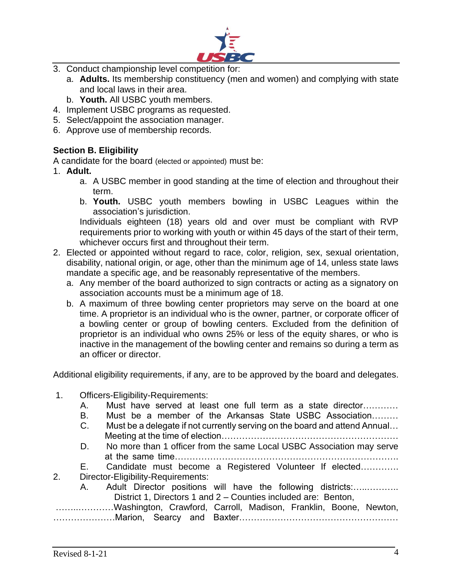

- 3. Conduct championship level competition for:
	- a. **Adults.** Its membership constituency (men and women) and complying with state and local laws in their area.
	- b. **Youth.** All USBC youth members.
- 4. Implement USBC programs as requested.
- 5. Select/appoint the association manager.
- 6. Approve use of membership records.

# **Section B. Eligibility**

A candidate for the board (elected or appointed) must be:

- 1. **Adult.**
	- a. A USBC member in good standing at the time of election and throughout their term.
	- b. **Youth.** USBC youth members bowling in USBC Leagues within the association's jurisdiction.

Individuals eighteen (18) years old and over must be compliant with RVP requirements prior to working with youth or within 45 days of the start of their term, whichever occurs first and throughout their term.

- 2. Elected or appointed without regard to race, color, religion, sex, sexual orientation, disability, national origin, or age, other than the minimum age of 14, unless state laws mandate a specific age, and be reasonably representative of the members.
	- a. Any member of the board authorized to sign contracts or acting as a signatory on association accounts must be a minimum age of 18.
	- b. A maximum of three bowling center proprietors may serve on the board at one time. A proprietor is an individual who is the owner, partner, or corporate officer of a bowling center or group of bowling centers. Excluded from the definition of proprietor is an individual who owns 25% or less of the equity shares, or who is inactive in the management of the bowling center and remains so during a term as an officer or director.

Additional eligibility requirements, if any, are to be approved by the board and delegates.

- 1. Officers-Eligibility-Requirements:
	- A. Must have served at least one full term as a state director…………
	- B. Must be a member of the Arkansas State USBC Association………
	- C. Must be a delegate if not currently serving on the board and attend Annual… Meeting at the time of election……………………………………………………
	- D. No more than 1 officer from the same Local USBC Association may serve at the same time………………………………………………………………….
	- E. Candidate must become a Registered Volunteer If elected………….
- 2. Director-Eligibility-Requirements:
- A. Adult Director positions will have the following districts:................. District 1, Directors 1 and 2 – Counties included are: Benton, ……..…………Washington, Crawford, Carroll, Madison, Franklin, Boone, Newton,

…………………Marion, Searcy and Baxter………………………………………………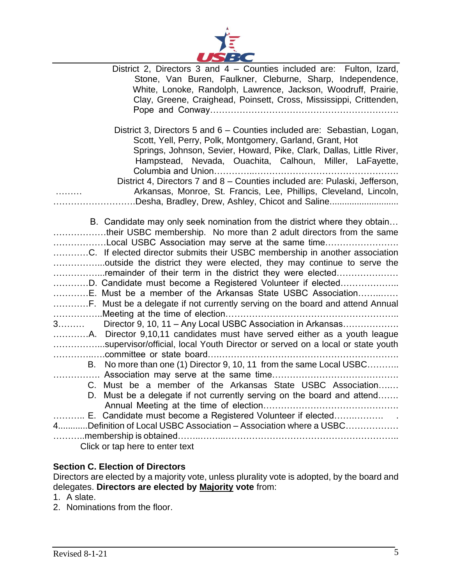

| District 2, Directors 3 and 4 - Counties included are: Fulton, Izard,                                                                            |
|--------------------------------------------------------------------------------------------------------------------------------------------------|
| Stone, Van Buren, Faulkner, Cleburne, Sharp, Independence,                                                                                       |
| White, Lonoke, Randolph, Lawrence, Jackson, Woodruff, Prairie,                                                                                   |
| Clay, Greene, Craighead, Poinsett, Cross, Mississippi, Crittenden,                                                                               |
|                                                                                                                                                  |
| District 3, Directors 5 and 6 – Counties included are: Sebastian, Logan,                                                                         |
| Scott, Yell, Perry, Polk, Montgomery, Garland, Grant, Hot                                                                                        |
| Springs, Johnson, Sevier, Howard, Pike, Clark, Dallas, Little River,                                                                             |
| Hampstead, Nevada, Ouachita, Calhoun, Miller, LaFayette,                                                                                         |
| Columbia and Union                                                                                                                               |
| District 4, Directors 7 and 8 – Counties included are: Pulaski, Jefferson,                                                                       |
| Arkansas, Monroe, St. Francis, Lee, Phillips, Cleveland, Lincoln,<br>.                                                                           |
| .Desha, Bradley, Drew, Ashley, Chicot and Saline                                                                                                 |
|                                                                                                                                                  |
| B. Candidate may only seek nomination from the district where they obtain<br>their USBC membership. No more than 2 adult directors from the same |
| Local USBC Association may serve at the same time                                                                                                |
| C. If elected director submits their USBC membership in another association                                                                      |
| outside the district they were elected, they may continue to serve the                                                                           |
| remainder of their term in the district they were elected                                                                                        |
| D. Candidate must become a Registered Volunteer if elected                                                                                       |
| E. Must be a member of the Arkansas State USBC Association                                                                                       |
|                                                                                                                                                  |
| Meeting at the time of election<br>3 Director 9, 10, 11 - Any Local USBC Association in Arkansas                                                 |
| A. Director 9,10,11 candidates must have served either as a youth league                                                                         |
| supervisor/official, local Youth Director or served on a local or state youth                                                                    |
|                                                                                                                                                  |
| B. No more than one (1) Director 9, 10, 11 from the same Local USBC                                                                              |
|                                                                                                                                                  |
| C. Must be a member of the Arkansas State USBC Association                                                                                       |
| D. Must be a delegate if not currently serving on the board and attend                                                                           |
|                                                                                                                                                  |
| E. Candidate must become a Registered Volunteer if elected<br>4Definition of Local USBC Association – Association where a USBC                   |
|                                                                                                                                                  |
| Click or tap here to enter text                                                                                                                  |
|                                                                                                                                                  |

# **Section C. Election of Directors**

Directors are elected by a majority vote, unless plurality vote is adopted, by the board and delegates. **Directors are elected by Majority vote** from:

- 1. A slate.
- 2. Nominations from the floor.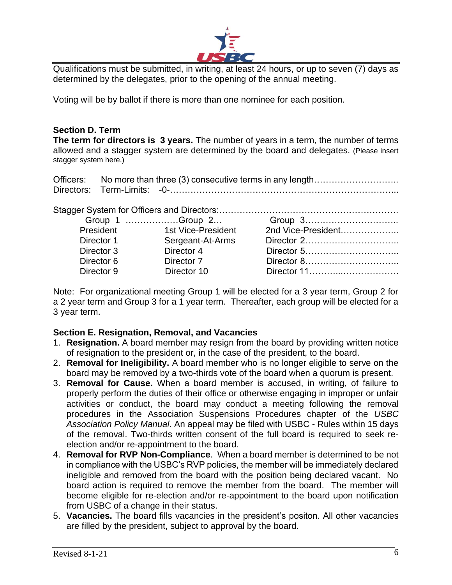

Qualifications must be submitted, in writing, at least 24 hours, or up to seven (7) days as determined by the delegates, prior to the opening of the annual meeting.

Voting will be by ballot if there is more than one nominee for each position.

# **Section D. Term**

**The term for directors is 3 years.** The number of years in a term, the number of terms allowed and a stagger system are determined by the board and delegates. (Please insert stagger system here.)

Officers: No more than three (3) consecutive terms in any length……………………….. Directors: Term-Limits: -0-…………………………………………………………………...

|            | Group 1 Group 2    |                    |
|------------|--------------------|--------------------|
| President  | 1st Vice-President | 2nd Vice-President |
| Director 1 | Sergeant-At-Arms   |                    |
| Director 3 | Director 4         | Director 5         |
| Director 6 | Director 7         |                    |
| Director 9 | Director 10        | Director 11        |
|            |                    |                    |

Note: For organizational meeting Group 1 will be elected for a 3 year term, Group 2 for a 2 year term and Group 3 for a 1 year term. Thereafter, each group will be elected for a 3 year term.

# **Section E. Resignation, Removal, and Vacancies**

- 1. **Resignation.** A board member may resign from the board by providing written notice of resignation to the president or, in the case of the president, to the board.
- 2. **Removal for Ineligibility.** A board member who is no longer eligible to serve on the board may be removed by a two-thirds vote of the board when a quorum is present.
- 3. **Removal for Cause.** When a board member is accused, in writing, of failure to properly perform the duties of their office or otherwise engaging in improper or unfair activities or conduct, the board may conduct a meeting following the removal procedures in the Association Suspensions Procedures chapter of the *USBC Association Policy Manual*. An appeal may be filed with USBC - Rules within 15 days of the removal. Two-thirds written consent of the full board is required to seek reelection and/or re-appointment to the board.
- 4. **Removal for RVP Non-Compliance**. When a board member is determined to be not in compliance with the USBC's RVP policies, the member will be immediately declared ineligible and removed from the board with the position being declared vacant. No board action is required to remove the member from the board. The member will become eligible for re-election and/or re-appointment to the board upon notification from USBC of a change in their status.
- 5. **Vacancies.** The board fills vacancies in the president's positon. All other vacancies are filled by the president, subject to approval by the board.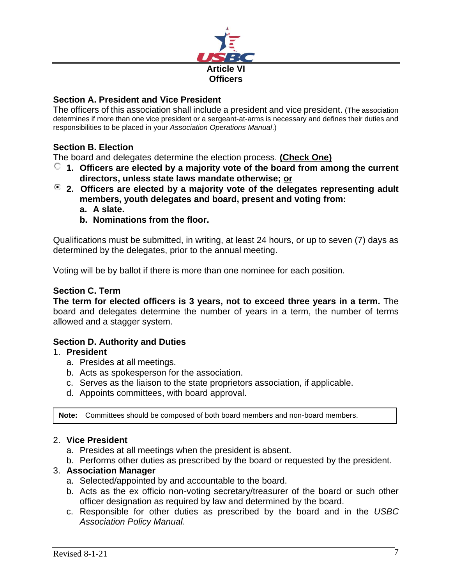

# **Section A. President and Vice President**

The officers of this association shall include a president and vice president. (The association determines if more than one vice president or a sergeant-at-arms is necessary and defines their duties and responsibilities to be placed in your *Association Operations Manual*.)

# **Section B. Election**

The board and delegates determine the election process. **(Check One)**

- **1. Officers are elected by a majority vote of the board from among the current directors, unless state laws mandate otherwise; or**
- **2. Officers are elected by a majority vote of the delegates representing adult members, youth delegates and board, present and voting from:**
	- **a. A slate.**
	- **b. Nominations from the floor.**

Qualifications must be submitted, in writing, at least 24 hours, or up to seven (7) days as determined by the delegates, prior to the annual meeting.

Voting will be by ballot if there is more than one nominee for each position.

## **Section C. Term**

**The term for elected officers is 3 years, not to exceed three years in a term.** The board and delegates determine the number of years in a term, the number of terms allowed and a stagger system.

#### **Section D. Authority and Duties**

#### 1. **President**

- a. Presides at all meetings.
- b. Acts as spokesperson for the association.
- c. Serves as the liaison to the state proprietors association, if applicable.
- d. Appoints committees, with board approval.

**Note:** Committees should be composed of both board members and non-board members.

#### 2. **Vice President**

- a. Presides at all meetings when the president is absent.
- b. Performs other duties as prescribed by the board or requested by the president.

#### 3. **Association Manager**

- a. Selected/appointed by and accountable to the board.
- b. Acts as the ex officio non-voting secretary/treasurer of the board or such other officer designation as required by law and determined by the board.
- c. Responsible for other duties as prescribed by the board and in the *USBC Association Policy Manual*.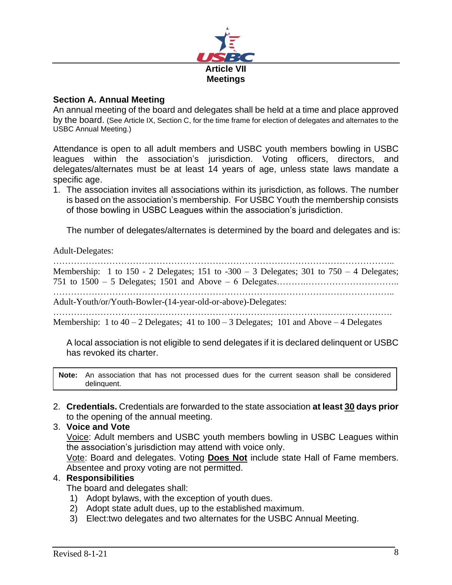

## **Section A. Annual Meeting**

An annual meeting of the board and delegates shall be held at a time and place approved by the board. (See Article IX, Section C, for the time frame for election of delegates and alternates to the USBC Annual Meeting.)

Attendance is open to all adult members and USBC youth members bowling in USBC leagues within the association's jurisdiction. Voting officers, directors, and delegates/alternates must be at least 14 years of age, unless state laws mandate a specific age.

1. The association invites all associations within its jurisdiction, as follows. The number is based on the association's membership. For USBC Youth the membership consists of those bowling in USBC Leagues within the association's jurisdiction.

The number of delegates/alternates is determined by the board and delegates and is:

Adult-Delegates:

…………………………………………………………………………………………………….. Membership: 1 to 150 - 2 Delegates; 151 to  $-300 - 3$  Delegates; 301 to 750 - 4 Delegates; 751 to 1500 – 5 Delegates; 1501 and Above – 6 Delegates……….………………………….. …………………………………………………………………………………………………….. Adult-Youth/or/Youth-Bowler-(14-year-old-or-above)-Delegates: ……………………………………………………………………………………………………. Membership: 1 to  $40 - 2$  Delegates; 41 to  $100 - 3$  Delegates; 101 and Above  $-4$  Delegates

A local association is not eligible to send delegates if it is declared delinquent or USBC has revoked its charter.

**Note:** An association that has not processed dues for the current season shall be considered delinquent.

2. **Credentials.** Credentials are forwarded to the state association **at least 30 days prior** to the opening of the annual meeting.

## 3. **Voice and Vote**

Voice: Adult members and USBC youth members bowling in USBC Leagues within the association's jurisdiction may attend with voice only.

Vote: Board and delegates. Voting **Does Not** include state Hall of Fame members. Absentee and proxy voting are not permitted.

#### 4. **Responsibilities**

The board and delegates shall:

- 1) Adopt bylaws, with the exception of youth dues.
- 2) Adopt state adult dues, up to the established maximum.
- 3) Elect:two delegates and two alternates for the USBC Annual Meeting.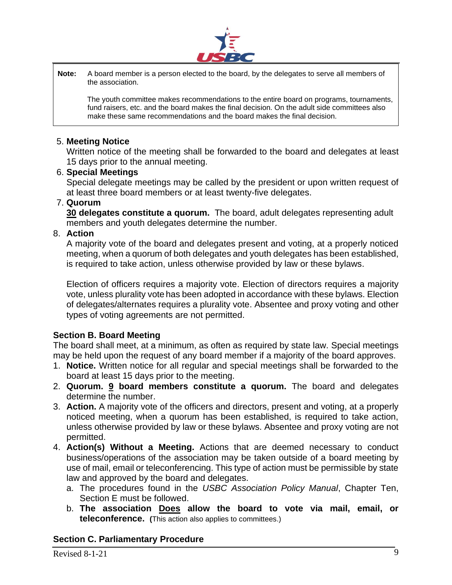

**Note:** A board member is a person elected to the board, by the delegates to serve all members of the association.

The youth committee makes recommendations to the entire board on programs, tournaments, fund raisers, etc. and the board makes the final decision. On the adult side committees also make these same recommendations and the board makes the final decision.

#### 5. **Meeting Notice**

Written notice of the meeting shall be forwarded to the board and delegates at least 15 days prior to the annual meeting.

#### 6. **Special Meetings**

Special delegate meetings may be called by the president or upon written request of at least three board members or at least twenty-five delegates.

#### 7. **Quorum**

**30 delegates constitute a quorum.** The board, adult delegates representing adult members and youth delegates determine the number.

## 8. **Action**

A majority vote of the board and delegates present and voting, at a properly noticed meeting, when a quorum of both delegates and youth delegates has been established, is required to take action, unless otherwise provided by law or these bylaws.

Election of officers requires a majority vote. Election of directors requires a majority vote, unless plurality vote has been adopted in accordance with these bylaws. Election of delegates/alternates requires a plurality vote. Absentee and proxy voting and other types of voting agreements are not permitted.

# **Section B. Board Meeting**

The board shall meet, at a minimum, as often as required by state law. Special meetings may be held upon the request of any board member if a majority of the board approves.

- 1. **Notice.** Written notice for all regular and special meetings shall be forwarded to the board at least 15 days prior to the meeting.
- 2. **Quorum. 9 board members constitute a quorum.** The board and delegates determine the number.
- 3. **Action.** A majority vote of the officers and directors, present and voting, at a properly noticed meeting, when a quorum has been established, is required to take action, unless otherwise provided by law or these bylaws. Absentee and proxy voting are not permitted.
- 4. **Action(s) Without a Meeting.** Actions that are deemed necessary to conduct business/operations of the association may be taken outside of a board meeting by use of mail, email or teleconferencing. This type of action must be permissible by state law and approved by the board and delegates.
	- a. The procedures found in the *USBC Association Policy Manual*, Chapter Ten, Section E must be followed.
	- b. **The association Does allow the board to vote via mail, email, or teleconference. (**This action also applies to committees.)

# **Section C. Parliamentary Procedure**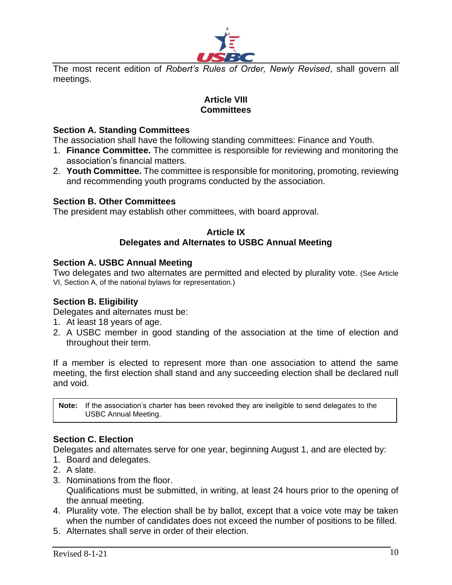

The most recent edition of *Robert's Rules of Order, Newly Revised*, shall govern all meetings.

# **Article VIII Committees**

## **Section A. Standing Committees**

The association shall have the following standing committees: Finance and Youth.

- 1. **Finance Committee.** The committee is responsible for reviewing and monitoring the association's financial matters.
- 2. **Youth Committee.** The committee is responsible for monitoring, promoting, reviewing and recommending youth programs conducted by the association.

#### **Section B. Other Committees**

The president may establish other committees, with board approval.

#### **Article IX Delegates and Alternates to USBC Annual Meeting**

#### **Section A. USBC Annual Meeting**

Two delegates and two alternates are permitted and elected by plurality vote. (See Article VI, Section A, of the national bylaws for representation.)

# **Section B. Eligibility**

Delegates and alternates must be:

- 1. At least 18 years of age.
- 2. A USBC member in good standing of the association at the time of election and throughout their term.

If a member is elected to represent more than one association to attend the same meeting, the first election shall stand and any succeeding election shall be declared null and void.

**Note:** If the association's charter has been revoked they are ineligible to send delegates to the USBC Annual Meeting.

# **Section C. Election**

Delegates and alternates serve for one year, beginning August 1, and are elected by:

- 1. Board and delegates.
- 2. A slate.
- 3. Nominations from the floor. Qualifications must be submitted, in writing, at least 24 hours prior to the opening of the annual meeting.
- 4. Plurality vote. The election shall be by ballot, except that a voice vote may be taken when the number of candidates does not exceed the number of positions to be filled.
- 5. Alternates shall serve in order of their election.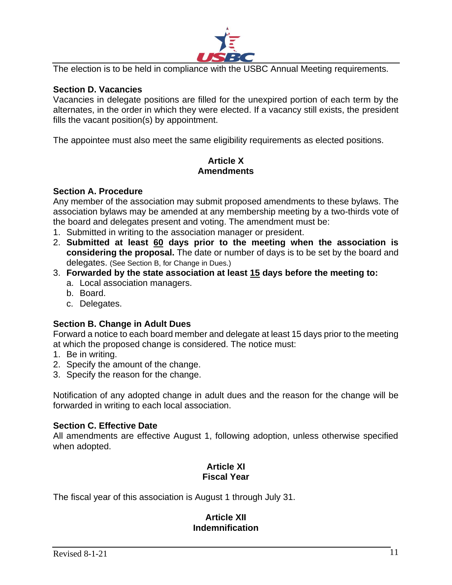

The election is to be held in compliance with the USBC Annual Meeting requirements.

## **Section D. Vacancies**

Vacancies in delegate positions are filled for the unexpired portion of each term by the alternates, in the order in which they were elected. If a vacancy still exists, the president fills the vacant position(s) by appointment.

The appointee must also meet the same eligibility requirements as elected positions.

## **Article X Amendments**

#### **Section A. Procedure**

Any member of the association may submit proposed amendments to these bylaws. The association bylaws may be amended at any membership meeting by a two-thirds vote of the board and delegates present and voting. The amendment must be:

- 1. Submitted in writing to the association manager or president.
- 2. **Submitted at least 60 days prior to the meeting when the association is considering the proposal.** The date or number of days is to be set by the board and delegates. (See Section B, for Change in Dues.)
- 3. **Forwarded by the state association at least 15 days before the meeting to:**
	- a. Local association managers.
	- b. Board.
	- c. Delegates.

#### **Section B. Change in Adult Dues**

Forward a notice to each board member and delegate at least 15 days prior to the meeting at which the proposed change is considered. The notice must:

- 1. Be in writing.
- 2. Specify the amount of the change.
- 3. Specify the reason for the change.

Notification of any adopted change in adult dues and the reason for the change will be forwarded in writing to each local association.

#### **Section C. Effective Date**

All amendments are effective August 1, following adoption, unless otherwise specified when adopted.

# **Article XI Fiscal Year**

The fiscal year of this association is August 1 through July 31.

#### **Article XII Indemnification**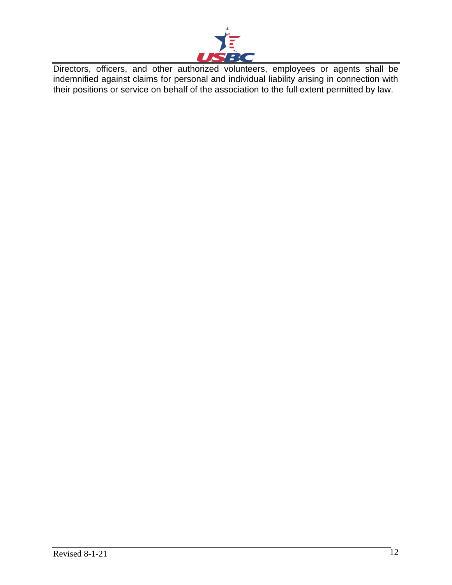

Directors, officers, and other authorized volunteers, employees or agents shall be indemnified against claims for personal and individual liability arising in connection with their positions or service on behalf of the association to the full extent permitted by law.